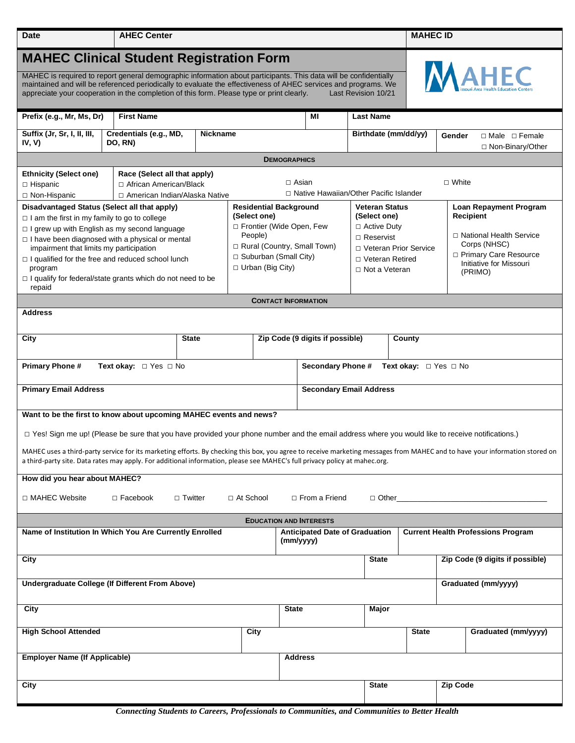| <b>Date</b>                                                                                                                                                                                                                                                                                                                                                           | <b>AHEC Center</b>                                                                                                                                                      |  |                                                                                                                                                 |                                 |                                |                                                                                                                                |                                     | <b>MAHEC ID</b>     |        |                                                                                                                         |  |
|-----------------------------------------------------------------------------------------------------------------------------------------------------------------------------------------------------------------------------------------------------------------------------------------------------------------------------------------------------------------------|-------------------------------------------------------------------------------------------------------------------------------------------------------------------------|--|-------------------------------------------------------------------------------------------------------------------------------------------------|---------------------------------|--------------------------------|--------------------------------------------------------------------------------------------------------------------------------|-------------------------------------|---------------------|--------|-------------------------------------------------------------------------------------------------------------------------|--|
| <b>MAHEC Clinical Student Registration Form</b>                                                                                                                                                                                                                                                                                                                       |                                                                                                                                                                         |  |                                                                                                                                                 |                                 |                                |                                                                                                                                |                                     |                     |        |                                                                                                                         |  |
| <b>AHEC</b><br>MAHEC is required to report general demographic information about participants. This data will be confidentially<br>maintained and will be referenced periodically to evaluate the effectiveness of AHEC services and programs. We<br>appreciate your cooperation in the completion of this form. Please type or print clearly.<br>Last Revision 10/21 |                                                                                                                                                                         |  |                                                                                                                                                 |                                 |                                |                                                                                                                                |                                     |                     |        |                                                                                                                         |  |
| <b>First Name</b><br>Prefix (e.g., Mr, Ms, Dr)                                                                                                                                                                                                                                                                                                                        |                                                                                                                                                                         |  |                                                                                                                                                 | ΜI                              |                                |                                                                                                                                | <b>Last Name</b>                    |                     |        |                                                                                                                         |  |
| Suffix (Jr, Sr, I, II, III,<br>Credentials (e.g., MD,<br><b>Nickname</b><br>IV, V)<br>DO, RN)                                                                                                                                                                                                                                                                         |                                                                                                                                                                         |  |                                                                                                                                                 |                                 |                                | Birthdate (mm/dd/yy)                                                                                                           |                                     |                     | Gender | $\Box$ Male $\Box$ Female<br>$\Box$ Non-Binary/Other                                                                    |  |
| <b>DEMOGRAPHICS</b>                                                                                                                                                                                                                                                                                                                                                   |                                                                                                                                                                         |  |                                                                                                                                                 |                                 |                                |                                                                                                                                |                                     |                     |        |                                                                                                                         |  |
| <b>Ethnicity (Select one)</b><br>$\Box$ Hispanic<br>□ Non-Hispanic                                                                                                                                                                                                                                                                                                    | Race (Select all that apply)<br>$\Box$ Asian<br>$\Box$ White<br>□ African American/Black<br>□ Native Hawaiian/Other Pacific Islander<br>□ American Indian/Alaska Native |  |                                                                                                                                                 |                                 |                                |                                                                                                                                |                                     |                     |        |                                                                                                                         |  |
| Disadvantaged Status (Select all that apply)                                                                                                                                                                                                                                                                                                                          |                                                                                                                                                                         |  | <b>Residential Background</b>                                                                                                                   |                                 |                                |                                                                                                                                | <b>Veteran Status</b>               |                     |        | <b>Loan Repayment Program</b>                                                                                           |  |
| $\Box$ I am the first in my family to go to college<br>$\Box$ I grew up with English as my second language<br>$\Box$ I have been diagnosed with a physical or mental<br>impairment that limits my participation<br>$\Box$ I qualified for the free and reduced school lunch<br>program<br>$\Box$ I qualify for federal/state grants which do not need to be<br>repaid |                                                                                                                                                                         |  | (Select one)<br>□ Frontier (Wide Open, Few<br>People)<br>Rural (Country, Small Town)<br>$\Box$ Suburban (Small City)<br>$\Box$ Urban (Big City) |                                 |                                | (Select one)<br>$\Box$ Active Duty<br>$\Box$ Reservist<br>□ Veteran Prior Service<br>□ Veteran Retired<br>$\Box$ Not a Veteran |                                     |                     |        | Recipient<br>□ National Health Service<br>Corps (NHSC)<br>□ Primary Care Resource<br>Initiative for Missouri<br>(PRIMO) |  |
| <b>CONTACT INFORMATION</b>                                                                                                                                                                                                                                                                                                                                            |                                                                                                                                                                         |  |                                                                                                                                                 |                                 |                                |                                                                                                                                |                                     |                     |        |                                                                                                                         |  |
| <b>Address</b>                                                                                                                                                                                                                                                                                                                                                        |                                                                                                                                                                         |  |                                                                                                                                                 |                                 |                                |                                                                                                                                |                                     |                     |        |                                                                                                                         |  |
|                                                                                                                                                                                                                                                                                                                                                                       |                                                                                                                                                                         |  |                                                                                                                                                 |                                 |                                |                                                                                                                                |                                     |                     |        |                                                                                                                         |  |
| <b>State</b><br>City                                                                                                                                                                                                                                                                                                                                                  |                                                                                                                                                                         |  |                                                                                                                                                 | Zip Code (9 digits if possible) |                                |                                                                                                                                |                                     | County              |        |                                                                                                                         |  |
| <b>Primary Phone#</b><br>Text okay: $\Box$ Yes $\Box$ No<br>Secondary Phone #<br><b>Text okay:</b> $\Box$ Yes $\Box$ No                                                                                                                                                                                                                                               |                                                                                                                                                                         |  |                                                                                                                                                 |                                 |                                |                                                                                                                                |                                     |                     |        |                                                                                                                         |  |
| <b>Primary Email Address</b>                                                                                                                                                                                                                                                                                                                                          |                                                                                                                                                                         |  |                                                                                                                                                 |                                 | <b>Secondary Email Address</b> |                                                                                                                                |                                     |                     |        |                                                                                                                         |  |
| Want to be the first to know about upcoming MAHEC events and news?                                                                                                                                                                                                                                                                                                    |                                                                                                                                                                         |  |                                                                                                                                                 |                                 |                                |                                                                                                                                |                                     |                     |        |                                                                                                                         |  |
| □ Yes! Sign me up! (Please be sure that you have provided your phone number and the email address where you would like to receive notifications.)                                                                                                                                                                                                                     |                                                                                                                                                                         |  |                                                                                                                                                 |                                 |                                |                                                                                                                                |                                     |                     |        |                                                                                                                         |  |
| MAHEC uses a third-party service for its marketing efforts. By checking this box, you agree to receive marketing messages from MAHEC and to have your information stored on<br>a third-party site. Data rates may apply. For additional information, please see MAHEC's full privacy policy at mahec.org.                                                             |                                                                                                                                                                         |  |                                                                                                                                                 |                                 |                                |                                                                                                                                |                                     |                     |        |                                                                                                                         |  |
| How did you hear about MAHEC?                                                                                                                                                                                                                                                                                                                                         |                                                                                                                                                                         |  |                                                                                                                                                 |                                 |                                |                                                                                                                                |                                     |                     |        |                                                                                                                         |  |
| □ MAHEC Website<br>$\Box$ Facebook<br>□ Twitter<br>$\Box$ At School<br>$\Box$ From a Friend<br>$\Box$ Other                                                                                                                                                                                                                                                           |                                                                                                                                                                         |  |                                                                                                                                                 |                                 |                                |                                                                                                                                |                                     |                     |        |                                                                                                                         |  |
| <b>EDUCATION AND INTERESTS</b>                                                                                                                                                                                                                                                                                                                                        |                                                                                                                                                                         |  |                                                                                                                                                 |                                 |                                |                                                                                                                                |                                     |                     |        |                                                                                                                         |  |
| Name of Institution In Which You Are Currently Enrolled<br><b>Anticipated Date of Graduation</b><br>(mm/yyyy)                                                                                                                                                                                                                                                         |                                                                                                                                                                         |  |                                                                                                                                                 |                                 |                                | <b>Current Health Professions Program</b>                                                                                      |                                     |                     |        |                                                                                                                         |  |
| City                                                                                                                                                                                                                                                                                                                                                                  |                                                                                                                                                                         |  |                                                                                                                                                 |                                 |                                |                                                                                                                                | <b>State</b>                        |                     |        | Zip Code (9 digits if possible)                                                                                         |  |
| Undergraduate College (If Different From Above)                                                                                                                                                                                                                                                                                                                       |                                                                                                                                                                         |  |                                                                                                                                                 |                                 |                                |                                                                                                                                |                                     | Graduated (mm/yyyy) |        |                                                                                                                         |  |
| City                                                                                                                                                                                                                                                                                                                                                                  |                                                                                                                                                                         |  |                                                                                                                                                 |                                 | <b>State</b>                   |                                                                                                                                | Major                               |                     |        |                                                                                                                         |  |
| <b>High School Attended</b>                                                                                                                                                                                                                                                                                                                                           |                                                                                                                                                                         |  | City                                                                                                                                            |                                 |                                |                                                                                                                                | <b>State</b><br>Graduated (mm/yyyy) |                     |        |                                                                                                                         |  |
| <b>Employer Name (If Applicable)</b>                                                                                                                                                                                                                                                                                                                                  |                                                                                                                                                                         |  |                                                                                                                                                 |                                 | <b>Address</b>                 |                                                                                                                                |                                     |                     |        |                                                                                                                         |  |
| City                                                                                                                                                                                                                                                                                                                                                                  |                                                                                                                                                                         |  |                                                                                                                                                 |                                 |                                |                                                                                                                                | <b>State</b>                        | <b>Zip Code</b>     |        |                                                                                                                         |  |